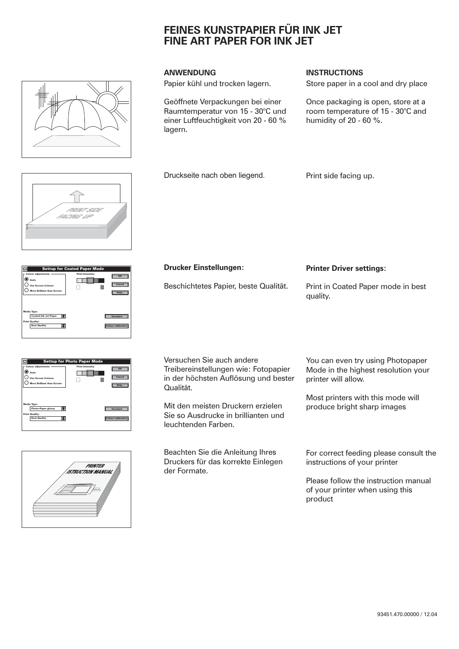# **FEINES KUNSTPAPIER FÜR INK JET FINE ART PAPER FOR INK JET**



Papier kühl und trocken lagern.

Druckseite nach oben liegend.

Geöffnete Verpackungen bei einer Raumtemperatur von 15 - 30°C und einer Luftfeuchtigkeit von 20 - 60 % lagern.

### **ANWENDUNG INSTRUCTIONS**

Store paper in a cool and dry place

Once packaging is open, store at a room temperature of 15 - 30°C and humidity of 20 - 60 %.

PRINT SIDE FACING UP

| <b>Settup for Coated Paper Mode</b>                                                                   |                                                 |  |  |  |
|-------------------------------------------------------------------------------------------------------|-------------------------------------------------|--|--|--|
| <b>Colour adjustments</b><br>) Auto<br><b>Use Screen Colours</b><br><b>More Brilliant than Screen</b> | <b>Print Intensity:</b><br>OK<br>Cancel<br>Help |  |  |  |
| <b>Media Type:</b><br><b>Coated Ink Jet Paper</b><br><b>Print Quality:</b><br><b>Best Quality</b>     | <b>Standard</b><br><b>Colour calibration</b>    |  |  |  |

|                                                                                                        | <b>Settup for Photo Paper Mode</b> |                      |
|--------------------------------------------------------------------------------------------------------|------------------------------------|----------------------|
| <b>Colour adjustments</b><br>2) Auto<br><b>Use Screen Colours</b><br><b>More Brilliant than Screen</b> | <b>Print Intensity:</b>            | OK<br>Cancel<br>Help |
| Media Type:<br><b>Photo-Paper glossy</b>                                                               |                                    | <b>Standard</b>      |

Print Quality: Best Quality

 $\overline{\phantom{a}}$ 

 $\overline{\text{ation}}$   $\overline{\text{}}$ 



Versuchen Sie auch andere Treibereinstellungen wie: Fotopapier in der höchsten Auflösung und bester Qualität.

Beschichtetes Papier, beste Qualität.

**Drucker Einstellungen:**

Mit den meisten Druckern erzielen Sie so Ausdrucke in brillianten und leuchtenden Farben.

Beachten Sie die Anleitung Ihres Druckers für das korrekte Einlegen der Formate.

**Printer Driver settings:**

Print side facing up.

Print in Coated Paper mode in best quality.

You can even try using Photopaper Mode in the highest resolution your printer will allow.

Most printers with this mode will produce bright sharp images

For correct feeding please consult the instructions of your printer

Please follow the instruction manual of your printer when using this product